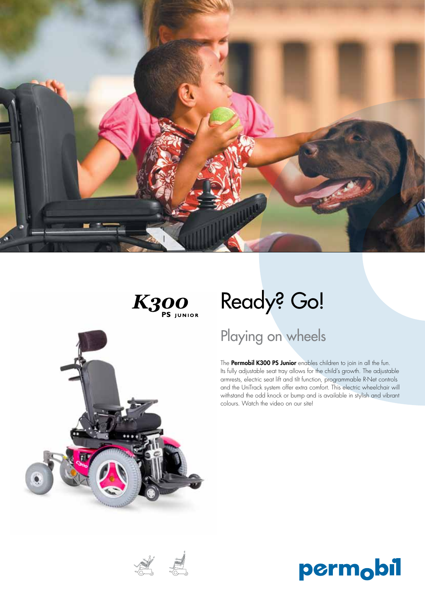



**意思** 

# Ready? Go!

## Playing on wheels

The Permobil K300 PS Junior enables children to join in all the fun. Its fully adjustable seat tray allows for the child's growth. The adjustable armrests, electric seat lift and tilt function, programmable R-Net controls and the UniTrack system offer extra comfort. This electric wheelchair will withstand the odd knock or bump and is available in stylish and vibrant colours. Watch the video on our site!